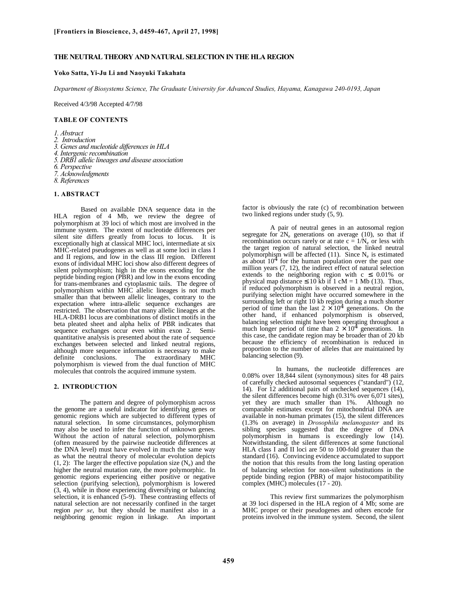### **THE NEUTRAL THEORY AND NATURAL SELECTION IN THE HLA REGION**

# **Yoko Satta, Yi-Ju Li and Naoyuki Takahata**

*Department of Biosystems Science, The Graduate University for Advanced Studies, Hayama, Kanagawa 240-0193, Japan*

Received 4/3/98 Accepted 4/7/98

### **TABLE OF CONTENTS**

*1. Abstract*

- *2. Introduction*
- *3. Genes and nucleotide differences in HLA*
- *4. Intergenic recombination*
- *5. DRB1 allelic lineages and disease association*
- *6. Perspective*
- *7. Acknowledgments*
- *8. References*

# **1. ABSTRACT**

 Based on available DNA sequence data in the HLA region of 4 Mb, we review the degree of polymorphism at 39 loci of which most are involved in the immune system. The extent of nucleotide differences per silent site differs greatly from locus to locus. It is exceptionally high at classical MHC loci, intermediate at six MHC-related pseudogenes as well as at some loci in class I and II regions, and low in the class III region. Different exons of individual MHC loci show also different degrees of silent polymorphism; high in the exons encoding for the peptide binding region (PBR) and low in the exons encoding for trans-membranes and cytoplasmic tails. The degree of polymorphism within MHC allelic lineages is not much smaller than that between allelic lineages, contrary to the expectation where intra-allelic sequence exchanges are restricted. The observation that many allelic lineages at the HLA-DRB1 locus are combinations of distinct motifs in the beta pleated sheet and alpha helix of PBR indicates that sequence exchanges occur even within exon 2. Semiquantitative analysis is presented about the rate of sequence exchanges between selected and linked neutral regions, although more sequence information is necessary to make<br>definite conclusions. The extraordinary MHC The extraordinary MHC polymorphism is viewed from the dual function of MHC molecules that controls the acquired immune system.

# **2. INTRODUCTION**

The pattern and degree of polymorphism across the genome are a useful indicator for identifying genes or genomic regions which are subjected to different types of natural selection. In some circumstances, polymorphism may also be used to infer the function of unknown genes. Without the action of natural selection, polymorphism (often measured by the pairwise nucleotide differences at the DNA level) must have evolved in much the same way as what the neutral theory of molecular evolution depicts  $(1, 2)$ : The larger the effective population size  $(N_e)$  and the higher the neutral mutation rate, the more polymorphic. In genomic regions experiencing either positive or negative selection (purifying selection), polymorphism is lowered (3, 4), while in those experiencing diversifying or balancing selection, it is enhanced (5-9). These contrasting effects of natural selection are not necessarily confined in the target region *per se*, but they should be manifest also in a neighboring genomic region in linkage. An important

factor is obviously the rate (c) of recombination between two linked regions under study (5, 9).

A pair of neutral genes in an autosomal region segregate for  $2N_e$  generations on average (10), so that if recombination occurs rarely or at rate  $c = 1/N_e$  or less with the target region of natural selection, the linked neutral polymorphism will be affected  $(11)$ . Since N<sub>e</sub> is estimated as about  $10<sup>4</sup>$  for the human population over the past one million years (7, 12), the indirect effect of natural selection extends to the neighboring region with  $c \leq 0.01\%$  or physical map distance  $\leq 10$  kb if 1 cM = 1 Mb (13). Thus, if reduced polymorphism is observed in a neutral region, purifying selection might have occurred somewhere in the surrounding left or right 10 kb region during a much shorter period of time than the last  $2 \times 10^4$  generations. On the other hand, if enhanced polymorphism is observed, balancing selection might have been operating throughout a much longer period of time than  $2 \times 10^4$  generations. In this case, the candidate region may be broader than of 20 kb because the efficiency of recombination is reduced in proportion to the number of alleles that are maintained by balancing selection (9).

In humans, the nucleotide differences are 0.08% over 18,844 silent (synonymous) sites for 48 pairs of carefully checked autosomal sequences ("standard") (12, 14). For 12 additional pairs of unchecked sequences (14), the silent differences become high (0.31% over 6,071 sites), yet they are much smaller than 1%. Although no comparable estimates except for mitochondrial DNA are available in non-human primates (15), the silent differences (1.3% on average) in *Drosophila melanogaster* and its sibling species suggested that the degree of DNA polymorphism in humans is exceedingly low (14). Notwithstanding, the silent differences at some functional HLA class I and II loci are 50 to 100-fold greater than the standard (16). Convincing evidence accumulated to support the notion that this results from the long lasting operation of balancing selection for non-silent substitutions in the peptide binding region (PBR) of major histocompatibility complex (MHC) molecules (17 - 20).

This review first summarizes the polymorphism at 39 loci dispersed in the HLA region of 4 Mb; some are MHC proper or their pseudogenes and others encode for proteins involved in the immune system. Second, the silent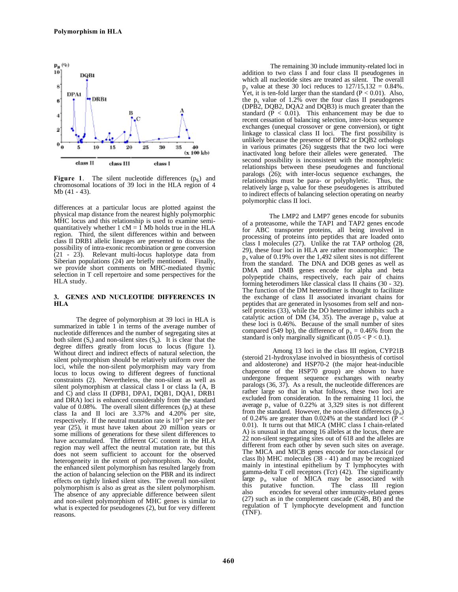

Figure 1. The silent nucleotide differences (p<sub>s</sub>) and chromosomal locations of 39 loci in the HLA region of 4 Mb (41 - 43).

differences at a particular locus are plotted against the physical map distance from the nearest highly polymorphic MHC locus and this relationship is used to examine semiquantitatively whether 1 cM =  $\hat{1}$  Mb holds true in the HLA region. Third, the silent differences within and between class II DRB1 allelic lineages are presented to discuss the possibility of intra-exonic recombination or gene conversion (21 - 23). Relevant multi-locus haplotype data from Siberian populations (24) are briefly mentioned. Finally, we provide short comments on MHC-mediated thymic selection in T cell repertoire and some perspectives for the HLA study.

### **3. GENES AND NUCLEOTIDE DIFFERENCES IN HLA**

The degree of polymorphism at 39 loci in HLA is summarized in table 1 in terms of the average number of nucleotide differences and the number of segregating sites at both silent  $(S_s)$  and non-silent sites  $(S_n)$ . It is clear that the degree differs greatly from locus to locus (figure 1). Without direct and indirect effects of natural selection, the silent polymorphism should be relatively uniform over the loci, while the non-silent polymorphism may vary from locus to locus owing to different degrees of functional constraints (2). Nevertheless, the non-silent as well as silent polymorphism at classical class I or class Ia (A, B and C) and class II (DPB1, DPA1, DQB1, DQA1, DRB1 and DRA) loci is enhanced considerably from the standard value of 0.08%. The overall silent differences  $(p_s)$  at these class Ia and II loci are 3.37% and 4.20% per site, respectively. If the neutral mutation rate is 10-9 per site per year (25), it must have taken about 20 million years or some millions of generations for these silent differences to have accumulated. The different GC content in the HLA region may well affect the neutral mutation rate, but this does not seem sufficient to account for the observed heterogeneity in the extent of polymorphism. No doubt, the enhanced silent polymorphism has resulted largely from the action of balancing selection on the PBR and its indirect effects on tightly linked silent sites. The overall non-silent polymorphism is also as great as the silent polymorphism. The absence of any appreciable difference between silent and non-silent polymorphism of MHC genes is similar to what is expected for pseudogenes (2), but for very different reasons.

The remaining 30 include immunity-related loci in addition to two class  $\overrightarrow{I}$  and four class II pseudogenes in which all nucleotide sites are treated as silent. The overall  $p_s$  value at these 30 loci reduces to  $127/15,132 = 0.84\%$ . Yet, it is ten-fold larger than the standard  $(P < 0.01)$ . Also, the  $p_s$  value of 1.2% over the four class II pseudogenes (DPB2, DQB2, DQA2 and DQB3) is much greater than the standard  $(P < 0.01)$ . This enhancement may be due to recent cessation of balancing selection, inter-locus sequence exchanges (unequal crossover or gene conversion), or tight linkage to classical class II loci. The first possibility is unlikely because the presence of DPB2 or DQB2 orthologs in various primates (26) suggests that the two loci were inactivated long before their alleles were generated. second possibility is inconsistent with the monophyletic relationships between these pseudogenes and functional paralogs (26); with inter-locus sequence exchanges, the relationships must be para- or polyphyletic. Thus, the relatively large  $p_s$  value for these pseudogenes is attributed to indirect effects of balancing selection operating on nearby polymorphic class II loci.

The LMP2 and LMP7 genes encode for subunits of a proteasome, while the TAP1 and TAP2 genes encode for ABC transporter proteins, all being involved in processing of proteins into peptides that are loaded onto class I molecules (27). Unlike the rat TAP ortholog (28, 29), these four loci in HLA are rather monomorphic: The ps value of 0.19% over the 1,492 silent sites is not different from the standard. The DNA and DOB genes as well as DMA and DMB genes encode for alpha and beta polypeptide chains, respectively, each pair of chains forming heterodimers like classical class II chains (30 - 32). The function of the DM heterodimer is thought to facilitate the exchange of class II associated invariant chains for peptides that are generated in lysosomes from self and nonself proteins (33), while the DO heterodimer inhibits such a catalytic action of DM (34, 35). The average  $p_s$  value at these loci is 0.46%. Because of the small number of sites compared (549 bp), the difference of  $p_s = 0.46\%$  from the standard is only marginally significant  $(0.05 < P < 0.1)$ .

Among 13 loci in the class III region, CYP21B (steroid 21-hydroxylase involved in biosynthesis of cortisol and aldosterone) and HSP70-2 (the major heat-inducible chaperone of the HSP70 group) are shown to have undergone frequent sequence exchanges with nearby paralogs (36, 37). As a result, the nucleotide differences are rather large so that in what follows, these two loci are excluded from consideration. In the remaining 11 loci, the average  $p_s$  value of 0.22% at 3,329 sites is not different from the standard. However, the non-silent differences  $(p_n)$ of 0.24% are greater than 0.024% at the standard loci ( $\overrightarrow{P}$ 0.01). It turns out that MICA (MHC class I chain-related A) is unusual in that among 16 alleles at the locus, there are 22 non-silent segregating sites out of 618 and the alleles are different from each other by seven such sites on average. The MICA and MICB genes encode for non-classical (or class Ib) MHC molecules (38 - 41) and may be recognized mainly in intestinal epithelium by T lymphocytes with gamma-delta T cell receptors (Tcr) (42). The significantly large  $p_n$  value of MICA may be associated with this putative function. The class III region The class III region. also encodes for several other immunity-related genes (27) such as in the complement cascade (C4B, Bf) and the regulation of T lymphocyte development and function (TNF).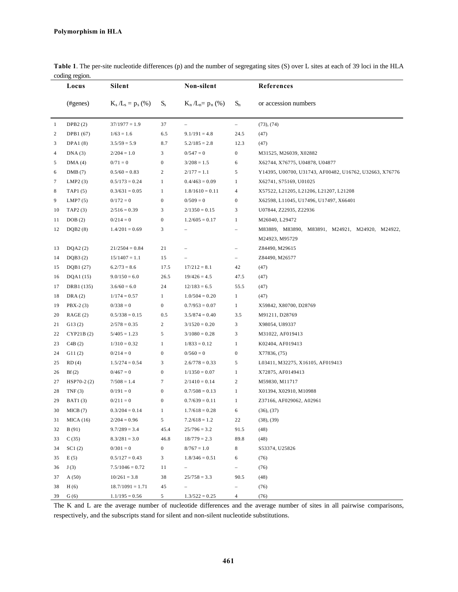|    | Locus          | <b>Silent</b>       |                  | Non-silent          |                          | References                                                        |
|----|----------------|---------------------|------------------|---------------------|--------------------------|-------------------------------------------------------------------|
|    | (#genes)       | $K_s/L_s = p_s$ (%) | $S_{s}$          | $K_n/L_n = p_n$ (%) | $S_n$                    | or accession numbers                                              |
| -1 | DPB2(2)        | $37/1977 = 1.9$     | 37               | $\qquad \qquad -$   | $\overline{\phantom{a}}$ | (73), (74)                                                        |
| 2  | DPB1 (67)      | $1/63 = 1.6$        | 6.5              | $9.1/191 = 4.8$     | 24.5                     | (47)                                                              |
| 3  | DPA1(8)        | $3.5/59 = 5.9$      | 8.7              | $5.2/185 = 2.8$     | 12.3                     | (47)                                                              |
| 4  | DNA(3)         | $2/204 = 1.0$       | 3                | $0/547=0$           | $\boldsymbol{0}$         | M31525, M26039, X02882                                            |
| 5  | DMA(4)         | $0/71 = 0$          | $\boldsymbol{0}$ | $3/208 = 1.5$       | 6                        | X62744, X76775, U04878, U04877                                    |
| 6  | DMB(7)         | $0.5/60 = 0.83$     | 2                | $2/177 = 1.1$       | 5                        | Y14395, U00700, U31743, AF00482, U16762, U32663, X76776           |
| 7  | LMP2(3)        | $0.5/173 = 0.24$    | 1                | $0.4/463 = 0.09$    | $\mathbf{1}$             | X62741, S75169, U01025                                            |
| 8  | TAP1(5)        | $0.3/631 = 0.05$    | $\mathbf{1}$     | $1.8/1610 = 0.11$   | $\overline{4}$           | X57522, L21205, L21206, L21207, L21208                            |
| 9  | LMP7(5)        | $0/172=0$           | $\boldsymbol{0}$ | $0/509 = 0$         | $\boldsymbol{0}$         | X62598, L11045, U17496, U17497, X66401                            |
| 10 | TAP2(3)        | $2/516 = 0.39$      | 3                | $2/1350 = 0.15$     | 3                        | U07844, Z22935, Z22936                                            |
| 11 | DOB(2)         | $0/214=0$           | $\boldsymbol{0}$ | $1.2/605 = 0.17$    | $\mathbf{1}$             | M26040, L29472                                                    |
| 12 | DQB2(8)        | $1.4/201 = 0.69$    | 3                |                     |                          | M83889, M83890, M83891, M24921, M24920, M24922,<br>M24923, M95729 |
| 13 | DQA2(2)        | $21/2504 = 0.84$    | 21               |                     |                          | Z84490, M29615                                                    |
| 14 | DQB3(2)        | $15/1407 = 1.1$     | 15               |                     |                          | Z84490, M26577                                                    |
| 15 | DQB1 (27)      | $6.2/73 = 8.6$      | 17.5             | $17/212 = 8.1$      | 42                       | (47)                                                              |
| 16 | DQA1 (15)      | $9.0/150 = 6.0$     | 26.5             | $19/426 = 4.5$      | 47.5                     | (47)                                                              |
| 17 | DRB1 (135)     | $3.6/60 = 6.0$      | 24               | $12/183 = 6.5$      | 55.5                     | (47)                                                              |
| 18 | DRA(2)         | $1/174 = 0.57$      | $\mathbf{1}$     | $1.0/504 = 0.20$    | $\mathbf{1}$             | (47)                                                              |
| 19 | $PBX-2(3)$     | $0/338=0$           | $\boldsymbol{0}$ | $0.7/953 = 0.07$    | $\mathbf{1}$             | X59842, X80700, D28769                                            |
| 20 | RAGE(2)        | $0.5/338 = 0.15$    | 0.5              | $3.5/874 = 0.40$    | 3.5                      | M91211, D28769                                                    |
| 21 | G13(2)         | $2/578 = 0.35$      | 2                | $3/1520 = 0.20$     | 3                        | X98054, U89337                                                    |
| 22 | CYP21B(2)      | $5/405 = 1.23$      | 5                | $3/1080 = 0.28$     | 3                        | M31022, AF019413                                                  |
| 23 | C4B(2)         | $1/310 = 0.32$      | $\mathbf{1}$     | $1/833 = 0.12$      | $\mathbf{1}$             | K02404, AF019413                                                  |
| 24 | G11(2)         | $0/214=0$           | $\boldsymbol{0}$ | $0/560 = 0$         | $\boldsymbol{0}$         | X77836, (75)                                                      |
| 25 | RD(4)          | $1.5/274 = 0.54$    | 3                | $2.6/778 = 0.33$    | 5                        | L03411, M32275, X16105, AF019413                                  |
| 26 | Bf(2)          | $0/467=0$           | $\mathbf{0}$     | $1/1350 = 0.07$     | $\mathbf{1}$             | X72875, AF0149413                                                 |
| 27 | $HSP70-2(2)$   | $7/508 = 1.4$       | 7                | $2/1410 = 0.14$     | 2                        | M59830, M11717                                                    |
| 28 | TNF(3)         | $0/191 = 0$         | $\boldsymbol{0}$ | $0.7/508 = 0.13$    | $\mathbf{1}$             | X01394, X02910, M10988                                            |
| 29 | <b>BAT1(3)</b> | $0/211 = 0$         | $\boldsymbol{0}$ | $0.7/639 = 0.11$    | $\mathbf{1}$             | Z37166, AF029062, A02961                                          |
| 30 | MICB (7)       | $0.3/204 = 0.14$    | 1                | $1.7/618 = 0.28$    | 6                        | (36), (37)                                                        |
| 31 | MICA(16)       | $2/204 = 0.96$      | 5                | $7.2/618 = 1.2$     | 22                       | (38), (39)                                                        |
| 32 | B(91)          | $9.7/289 = 3.4$     | 45.4             | $25/796 = 3.2$      | 91.5                     | (48)                                                              |
| 33 | C(35)          | $8.3/281 = 3.0$     | 46.8             | $18/779 = 2.3$      | 89.8                     | (48)                                                              |
| 34 | SC1(2)         | $0/301 = 0$         | 0                | $8/767 = 1.0$       | 8                        | S53374, U25826                                                    |
| 35 | E(5)           | $0.5/127 = 0.43$    | 3                | $1.8/346 = 0.51$    | 6                        | (76)                                                              |
| 36 | J(3)           | $7.5/1046 = 0.72$   | 11               | -                   | $\overline{\phantom{a}}$ | (76)                                                              |
| 37 | A(50)          | $10/261 = 3.8$      | 38               | $25/758 = 3.3$      | 90.5                     | (48)                                                              |
| 38 | H(6)           | $18.7/1091 = 1.71$  | 45               |                     |                          | (76)                                                              |
| 39 | G(6)           | $1.1/195 = 0.56$    | 5                | $1.3/522 = 0.25$    | $\overline{4}$           | (76)                                                              |

**Table 1**. The per-site nucleotide differences (p) and the number of segregating sites (S) over L sites at each of 39 loci in the HLA coding region.

The K and L are the average number of nucleotide differences and the average number of sites in all pairwise comparisons, respectively, and the subscripts stand for silent and non-silent nucleotide substitutions.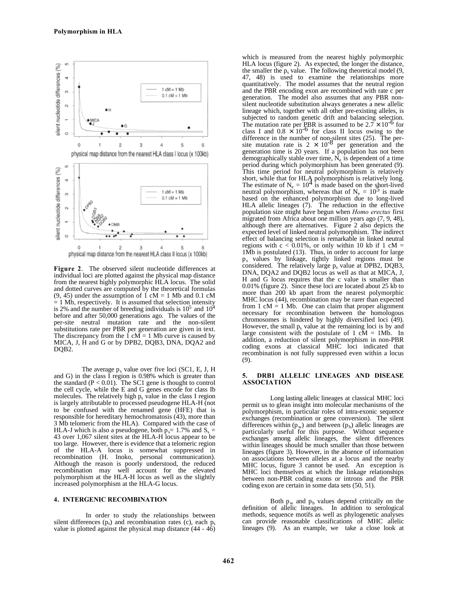

**Figure 2**. The observed silent nucleotide differences at individual loci are plotted against the physical map distance from the nearest highly polymorphic HLA locus. The solid and dotted curves are computed by the theoretical formulas  $(9, 45)$  under the assumption of 1 cM = 1 Mb and 0.1 cM  $= 1$  Mb, respectively. It is assumed that selection intensity is 2% and the number of breeding individuals is  $10^5$  and  $10^4$ before and after 50,000 generations ago. The values of the per-site neutral mutation rate and the non-silent substitutions rate per PBR per generation are given in text. The discrepancy from the 1 cM = 1 Mb curve is caused by MICA, J, H and G or by DPB2, DQB3, DNA, DQA2 and DQB2.

The average  $p_s$  value over five loci (SC1, E, J, H and G) in the class I region is 0.98% which is greater than the standard  $(P < 0.01)$ . The SC1 gene is thought to control the cell cycle, while the E and G genes encode for class Ib molecules. The relatively high  $p_s$  value in the class I region is largely attributable to processed pseudogene HLA-H (not to be confused with the renamed gene (HFE) that is responsible for hereditary hemochromatosis (43), more than 3 Mb telomeric from the HLA). Compared with the case of HLA-J which is also a pseudogene, both  $p_s = 1.7\%$  and  $S_s =$ 43 over 1,067 silent sites at the HLA-H locus appear to be too large. However, there is evidence that a telomeric region of the HLA-A locus is somewhat suppressed in recombination (H. Inoko, personal communication). Although the reason is poorly understood, the reduced recombination may well account for the elevated polymorphism at the HLA-H locus as well as the slightly increased polymorphism at the HLA-G locus.

### **4. INTERGENIC RECOMBINATION**

 In order to study the relationships between silent differences  $(p_s)$  and recombination rates (c), each  $p_s$ value is plotted against the physical map distance (44 - 46)

which is measured from the nearest highly polymorphic HLA locus (figure 2). As expected, the longer the distance, the smaller the  $p_s$  value. The following theoretical model  $(9, 1)$ 47, 48) is used to examine the relationships more quantitatively. The model assumes that the neutral region and the PBR encoding exon are recombined with rate c per generation. The model also assumes that any PBR nonsilent nucleotide substitution always generates a new allelic lineage which, together with all other pre-existing alleles, is subjected to random genetic drift and balancing selection. The mutation rate per PBR is assumed to be  $2.7 \times 10^{-6}$  for class I and  $0.8 \times 10^{-6}$  for class II locus owing to the difference in the number of non-silent sites (25). The per-<br>site mutation rate is  $2 \times 10^{-8}$  per generation and the generation time is 20 years. If a population has not been demographically stable over time,  $\bar{N}_e$  is dependent of a time period during which polymorphism has been generated (9). This time period for neutral polymorphism is relatively short, while that for HLA polymorphism is relatively long. The estimate of  $N_e = 10^4$  is made based on the short-lived neutral polymorphism, whereas that of  $N_e = 10^5$  is made based on the enhanced polymorphism due to long-lived HLA allelic lineages (7). The reduction in the effective population size might have begun when *Homo erectus* first migrated from Africa about one million years ago (7, 9, 48), although there are alternatives. Figure 2 also depicts the expected level of linked neutral polymorphism. The indirect effect of balancing selection is remarkable in linked neutral regions with  $c < 0.01\%$ , or only within 10 kb if 1 cM = 1Mb is postulated (13). Thus, in order to account for large ps values by linkage, tightly linked regions must be considered. The relatively large  $p_s$  value at DPB2, DQB3, DNA, DQA2 and DQB2 locus as well as that at MICA, J, H and G locus requires that the c value is smaller than 0.01% (figure 2). Since these loci are located about 25 kb to more than 200 kb apart from the nearest polymorphic MHC locus (44), recombination may be rarer than expected from  $1 \text{ cM} = 1 \text{ Mb}$ . One can claim that proper alignment necessary for recombination between the homologous chromosomes is hindered by highly diversified loci (49). However, the small  $p_s$  value at the remaining loci is by and large consistent with the postulate of  $1 \text{ cM} = 1 \text{ Mb}$ . In addition, a reduction of silent polymorphism in non-PBR coding exons at classical MHC loci indicated that recombination is not fully suppressed even within a locus (9).

#### **5. DRB1 ALLELIC LINEAGES AND DISEASE ASSOCIATION**

Long lasting allelic lineages at classical MHC loci permit us to glean insight into molecular mechanisms of the polymorphism, in particular roles of intra-exonic sequence exchanges (recombination or gene conversion). The silent differences within  $(p_w)$  and between  $(p_b)$  allelic lineages are particularly useful for this purpose. Without sequence exchanges among allelic lineages, the silent differences within lineages should be much smaller than those between lineages (figure 3). However, in the absence of information on associations between alleles at a locus and the nearby MHC locus, figure 3 cannot be used. An exception is MHC loci themselves at which the linkage relationships between non-PBR coding exons or introns and the PBR coding exon are certain in some data sets (50, 51).

Both  $p_w$  and  $p_b$  values depend critically on the definition of allelic lineages. In addition to serological methods, sequence motifs as well as phylogenetic analyses can provide reasonable classifications of MHC allelic lineages (9). As an example, we take a close look at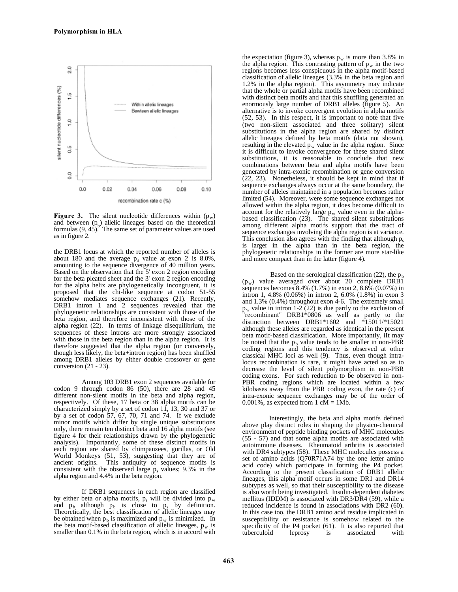

**Figure 3.** The silent nucleotide differences within  $(p_w)$ and between  $(p_b)$  allelic lineages based on the theoretical formulas  $(9, 45)$ . The same set of parameter values are used as in figure 2.

the DRB1 locus at which the reported number of alleles is about 180 and the average  $p_s$  value at exon 2 is 8.0%, amounting to the sequence divergence of 40 million years. Based on the observation that the 5' exon 2 region encoding for the beta pleated sheet and the 3' exon 2 region encoding for the alpha helix are phylogenetically incongruent, it is proposed that the chi-like sequence at codon 51-55 somehow mediates sequence exchanges (21). Recently, DRB1 intron 1 and 2 sequences revealed that the phylogenetic relationships are consistent with those of the beta region, and therefore inconsistent with those of the alpha region (22). In terms of linkage disequilibrium, the sequences of these introns are more strongly associated with those in the beta region than in the alpha region. It is therefore suggested that the alpha region (or conversely, though less likely, the beta+intron region) has been shuffled among DRB1 alleles by either double crossover or gene conversion (21 - 23).

Among 103 DRB1 exon 2 sequences available for codon 9 through codon 86 (50), there are 28 and 45 different non-silent motifs in the beta and alpha region, respectively. Of these, 17 beta or 38 alpha motifs can be characterized simply by a set of codon 11, 13, 30 and 37 or by a set of codon 57, 67, 70, 71 and 74. If we exclude minor motifs which differ by single unique substitutions only, there remain ten distinct beta and 16 alpha motifs (see figure 4 for their relationships drawn by the phylogenetic analysis). Importantly, some of these distinct motifs in each region are shared by chimpanzees, gorillas, or Old World Monkeys (51, 53), suggesting that they are of ancient origins. This antiquity of sequence motifs is consistent with the observed large  $p_s$  values; 9.3% in the alpha region and 4.4% in the beta region.

If DRB1 sequences in each region are classified by either beta or alpha motifs,  $p_s$  will be divided into  $p_w$ and  $p_b$  although  $p_b$  is close to  $p_s$  by definition. Theoretically, the best classification of allelic lineages may be obtained when  $p_b$  is maximized and  $p_w$  is minimized. In the beta motif-based classification of allelic lineages,  $p_w$  is smaller than 0.1% in the beta region, which is in accord with the expectation (figure 3), whereas  $p_w$  is more than 3.8% in the alpha region. This contrasting pattern of  $p_w$  in the two regions becomes less conspicuous in the alpha motif-based classification of allelic lineages (3.3% in the beta region and 1.2% in the alpha region). This asymmetry may indicate that the whole or partial alpha motifs have been recombined with distinct beta motifs and that this shuffling generated an enormously large number of DRB1 alleles (figure 5). An alternative is to invoke convergent evolution in alpha motifs (52, 53). In this respect, it is important to note that five (two non-silent associated and three solitary) silent substitutions in the alpha region are shared by distinct allelic lineages defined by beta motifs (data not shown), resulting in the elevated  $p_w$  value in the alpha region. Since it is difficult to invoke convergence for these shared silent substitutions, it is reasonable to conclude that new combinations between beta and alpha motifs have been generated by intra-exonic recombination or gene conversion  $(22, 23)$ . Nonetheless, it should be kept in mind that if sequence exchanges always occur at the same boundary, the number of alleles maintained in a population becomes rather limited (54). Moreover, were some sequence exchanges not allowed within the alpha region, it does become difficult to account for the relatively large  $p_w$  value even in the alphabased classification (23). The shared silent substitutions among different alpha motifs support that the tract of sequence exchanges involving the alpha region is at variance. This conclusion also agrees with the finding that although  $p_s$ is larger in the alpha than in the beta region, the phylogenetic relationships in the former are more star-like and more compact than in the latter (figure 4).

Based on the serological classification (22), the  $p<sub>b</sub>$  $(p_w)$  value averaged over about 20 complete DRB1 sequences becomes  $8.4\%$  (1.7%) in exon 2,  $8.6\%$  (0.07%) in intron 1, 4.8% (0.06%) in intron 2, 6.0% (1.8%) in exon 3 and 1.3% (0.4%) throughout exon 4-6. The extremely small  $p_w$  value in intron 1-2 (22) is due partly to the exclusion of "recombinant" DRB1\*0806 as well as partly to the distinction between DRB1\*1602 and \*15011/\*15021 although these alleles are regarded as identical in the present beta motif-based classification. More importantly, iIt may be noted that the  $p_b$  value tends to be smaller in non-PBR coding regions and this tendency is observed at other classical MHC loci as well (9). Thus, even though intralocus recombination is rare, it might have acted so as to decrease the level of silent polymorphism in non-PBR coding exons. For such reduction to be observed in non-PBR coding regions which are located within a few kilobases away from the PBR coding exon, the rate (c) of intra-exonic sequence exchanges may be of the order of 0.001%, as expected from  $1 \text{ cM} = 1 \text{Mb}$ .

Interestingly, the beta and alpha motifs defined above play distinct roles in shaping the physico-chemical environment of peptide binding pockets of MHC molecules (55 - 57) and that some alpha motifs are associated with autoimmune diseases. Rheumatoid arthritis is associated with DR4 subtypes (58). These MHC molecules possess a set of amino acids (Q70R71A74 by the one letter amino acid code) which participate in forming the P4 pocket. According to the present classification of DRB1 allelic lineages, this alpha motif occurs in some DR1 and DR14 subtypes as well, so that their susceptibility to the disease is also worth being investigated. Insulin-dependent diabetes mellitus (IDDM) is associated with DR3/DR4 (59), while a reduced incidence is found in associations with DR2 (60). In this case too, the DRB1 amino acid residue implicated in susceptibility or resistance is somehow related to the specificity of the P4 pocket (61). It is also reported that<br>tuberculoid leprosy is associated with tuberculoid leprosy is associated with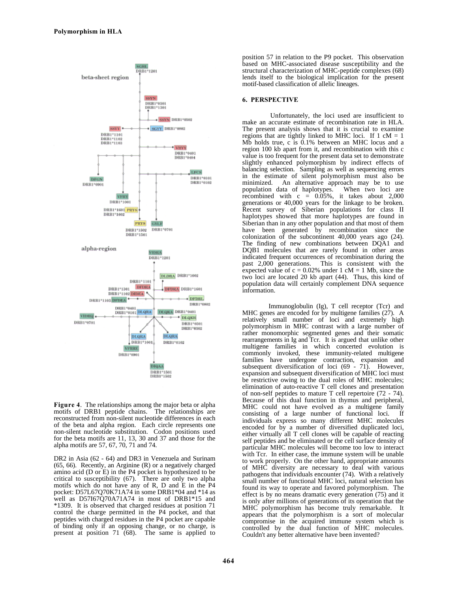

**Figure 4**. The relationships among the major beta or alpha motifs of DRB1 peptide chains. The relationships are reconstructed from non-silent nucleotide differences in each of the beta and alpha region. Each circle represents one non-silent nucleotide substitution. Codon positions used for the beta motifs are 11, 13, 30 and 37 and those for the alpha motifs are 57, 67, 70, 71 and 74.

DR2 in Asia (62 - 64) and DR3 in Venezuela and Surinam (65, 66). Recently, an Arginine (R) or a negatively charged amino acid (D or E) in the P4 pocket is hypothesized to be critical to susceptibility (67). There are only two alpha motifs which do not have any of R, D and E in the P4 pocket: D57L67Q70K71A74 in some DRB1\*04 and \*14 as well as D57I67Q70A71A74 in most of DRB1\*15 and \*1309. It is observed that charged residues at position 71 control the charge permitted in the P4 pocket, and that peptides with charged residues in the P4 pocket are capable of binding only if an opposing change, or no charge, is present at position 71 (68). The same is applied to

position 57 in relation to the P9 pocket. This observation based on MHC-associated disease susceptibility and the structural characterization of MHC-peptide complexes (68) lends itself to the biological implication for the present motif-based classification of allelic lineages.

#### **6. PERSPECTIVE**

Unfortunately, the loci used are insufficient to make an accurate estimate of recombination rate in HLA. The present analysis shows that it is crucial to examine regions that are tightly linked to MHC loci. If  $1 \text{ cM} = 1$ Mb holds true, c is 0.1% between an MHC locus and a region 100 kb apart from it, and recombination with this c value is too frequent for the present data set to demonstrate slightly enhanced polymorphism by indirect effects of balancing selection. Sampling as well as sequencing errors in the estimate of silent polymorphism must also be minimized. An alternative approach may be to use population data of haplotypes. When two loci are recombined with  $c = 0.05\%$ , it takes about 2,000 generations or 40,000 years for the linkage to be broken. Recent survey of Siberian populations for class II haplotypes showed that more haplotypes are found in Siberian than in any other population and that most of them have been generated by recombination since the colonization of the subcontinent 40,000 years ago (24). The finding of new combinations between DQA1 and DQB1 molecules that are rarely found in other areas indicated frequent occurrences of recombination during the past 2,000 generations. This is consistent with the expected value of  $c = 0.02\%$  under 1 cM = 1 Mb, since the two loci are located 20 kb apart (44). Thus, this kind of population data will certainly complement DNA sequence information.

Immunoglobulin (Ig), T cell receptor (Tcr) and MHC genes are encoded for by multigene families (27). A relatively small number of loci and extremely high polymorphism in MHC contrast with a large number of rather monomorphic segmented genes and their somatic rearrangements in Ig and Tcr. It is argued that unlike other multigene families in which concerted evolution is commonly invoked, these immunity-related multigene families have undergone contraction, expansion and subsequent diversification of loci (69 - 71). However, expansion and subsequent diversification of MHC loci must be restrictive owing to the dual roles of MHC molecules; elimination of auto-reactive T cell clones and presentation of non-self peptides to mature T cell repertoire (72 - 74). Because of this dual function in thymus and peripheral, MHC could not have evolved as a multigene family consisting of a large number of functional loci. If individuals express so many different MHC molecules encoded for by a number of diversified duplicated loci, either virtually all T cell clones will be capable of reacting self peptides and be eliminated or the cell surface density of particular MHC molecules will become too low to interact with Tcr. In either case, the immune system will be unable to work properly. On the other hand, appropriate amounts of MHC diversity are necessary to deal with various pathogens that individuals encounter (74). With a relatively small number of functional MHC loci, natural selection has found its way to operate and favored polymorphism. The effect is by no means dramatic every generation (75) and it is only after millions of generations of its operation that the MHC polymorphism has become truly remarkable. It appears that the polymorphism is a sort of molecular compromise in the acquired immune system which is controlled by the dual function of MHC molecules. Couldn't any better alternative have been invented?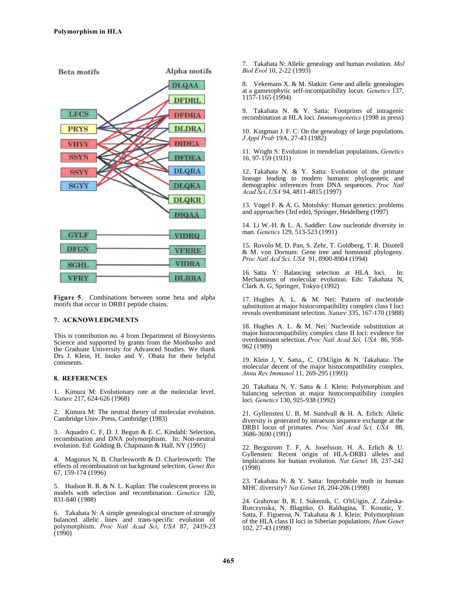

**Figure 5**. Combinations between some beta and alpha motifs that occur in DRB1 peptide chains.

# **7. ACKNOWLEDGMENTS**

This is contribution no. 4 from Department of Biosystems Science and supported by grants from the Monbusho and the Graduate University for Advanced Studies. We thank Drs J. Klein, H. Inoko and Y. Obata for their helpful comments.

### **8. REFERENCES**

1. Kimura M: Evolutionary rate at the molecular level. *Nature* 217, 624-626 (1968)

2. Kimura M: The neutral theory of molecular evolution. Cambridge Univ. Press, Cambridge (1983)

3. Aquadro C. F, D. J. Begun & E. C. Kindahl: Selection, recombination and DNA polymorphism. In: Non-neutral evolution. Ed: Golding B, Chapmann & Hall, NY (1995)

4. Magunus N, B. Charlesworth & D. Charlesworth: The effects of recombination on background selection. *Genet Res* 67, 159-174 (1996)

5. Hudson R. R. & N. L. Kaplan: The coalescent process in models with selection and recombination. *Genetics* 120, 831-840 (1988)

6. Takahata N: A simple genealogical structure of strongly balanced allelic lines and trans-specific evolution of polymorphism. *Proc Natl Acad Sci*, *USA* 87, 2419-23  $(1990)$ 

7. Takahata N: Allelic genealogy and human evolution. *Mol Biol Evol* 10, 2-22 (1993)

8. Vekemans X. & M. Slatkin: Gene and allelic genealogies at a gametophytic self-incompatibility locus. *Genetics* 137, 1157-1165 (1994)

9. Takahata N. & Y. Satta: Footprints of intragenic recombination at HLA loci. *Immunogenetics* (1998 in press)

10. Kingman J. F. C: On the genealogy of large populations. *J Appl Prob* 19A, 27-43 (1982)

11. Wright S: Evolution in mendelian populations. *Genetics* 16, 97-159 (1931)

12. Takahata N. & Y. Satta: Evolution of the primate lineage leading to modern humans: phylogenetic and demographic inferences from DNA sequences. *Proc Natl Acad Sci*, *USA* 94, 4811-4815 (1997)

13. Vogel F. & A. G. Motulsky: Human genetics: problems and approaches (3rd edn), Springer, Heidelberg (1997)

14. Li W.-H. & L. A. Saddler: Low nucleotide diversity in man. *Genetics* 129, 513-523 (1991)

15. Ruvolo M, D. Pan, S. Zehr, T. Goldberg, T. R. Disotell & M. von Dornum: Gene tree and hominoid phylogeny. *Proc Natl Acd Sci, USA* 91, 8900-8904 (1994)

16. Satta Y: Balancing selection at HLA loci. In: Mechanisms of molecular evolution. Eds: Takahata N, Clark A. G, Springer, Tokyo (1992)

17. Hughes A. L. & M. Nei: Pattern of nucleotide substitution at major histocompatibility complex class I loci reveals overdominant selection. *Nature* 335, 167-170 (1988)

18. Hughes A. L. & M. Nei: Nucleotide substitution at major histocompatibility complex class II loci: evidence for overdominant selection. *Proc Natl Acad Sci, USA* 86, 958- 962 (1989)

19. Klein J, Y. Satta,, C. O'hUigin & N. Takahata: The molecular decent of the major histocompatibility complex. *Annu Rev Immunol* 11, 269-295 (1993)

20. Takahata N, Y. Satta & J. Klein: Polymorphism and balancing selection at major histocompatibility complex loci. *Genetics* 130, 925-938 (1992)

21. Gyllensten U. B, M. Sundvall & H. A. Erlich: Allelic diversity is generated by intraexon sequence exchange at the DRB1 locus of primates. *Proc Natl Acad Sci, USA* 88, 3686-3690 (1991)

22. Bergstrom T. F, A. Josefsson, H. A. Erlich & U. Gyllensten: Recent origin of HLA-DRB1 alleles and implications for human evolution. *Nat Genet* 18, 237-242  $(1998)$ 

23. Takahata N. & Y. Satta: Improbable truth in human MHC diversity? *Nat Genet* 18, 204-206 (1998)

24. Grahovac B, R. I. Sukernik, C. O'hUigin, Z. Zaleska-Rutczynska, N. Blagitko, O. Raldugina, T. Kosutic, Y. Satta, F. Figueroa, N. Takahata & J. Klein: Polymorphism of the HLA class II loci in Siberian populations. *Hum Genet* 102, 27-43 (1998)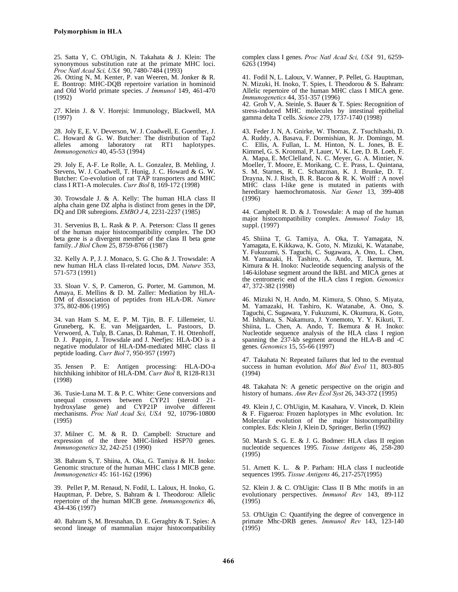25. Satta Y, C. O'hUigin, N. Takahata & J. Klein: The synonymous substitution rate at the primate MHC loci. *Proc Natl Acad Sci, USA* 90, 7480-7484 (1993)

26. Otting N, M. Kenter, P. van Weeren, M. Jonker & R. E. Bontrop: MHC-DQB repertoire variation in hominoid and Old World primate species. *J Immunol* 149, 461-470 (1992)

27. Klein J. & V. Horejsi: Immunology, Blackwell, MA (1997)

28. Joly E, E. V. Deverson, W. J. Coadwell, E. Guenther, J. C. Howard & G. W. Butcher: The distribution of Tap2 alleles among laboratory rat RT1 haplotypes. *Immunogenetics* 40, 45-53 (1994)

29. Joly E, A-F. Le Rolle, A. L. Gonzalez, B. Mehling, J. Stevens, W. J. Coadwell, T. Hunig, J. C. Howard & G. W. Butcher: Co-evolution of rat TAP transporters and MHC class I RT1-A molecules. *Curr Biol* 8, 169-172 (1998)

30. Trowsdale J. & A. Kelly: The human HLA class II alpha chain gene DZ alpha is distinct from genes in the DP, DQ and DR subregions. *EMBO J* 4, 2231-2237 (1985)

31. Servenius B, L. Rask & P. A. Peterson: Class II genes of the human major histocompatibility complex. The DO beta gene is a divergent member of the class II beta gene family. *J Biol Chem* 25, 8759-8766 (1987)

32. Kelly A. P, J. J. Monaco, S. G. Cho & J. Trowsdale: A new human HLA class II-related locus, DM. *Nature* 353, 571-573 (1991)

33. Sloan V. S, P. Cameron, G. Porter, M. Gammon, M. Amaya, E. Mellins & D. M. Zaller: Mediation by HLA-DM of dissociation of peptides from HLA-DR. *Nature* 375, 802-806 (1995)

34. van Ham S. M, E. P. M. Tjin, B. F. Lillemeier, U. Gruneberg, K. E. van Meijgaarden, L. Pastoors, D. Verwoerd, A. Tulp, B. Canas, D. Rahman, T. H. Ottenhoff, D. J. Pappin, J. Trowsdale and J. Neefjes: HLA-DO is a negative modulator of HLA-DM-mediated MHC class II peptide loading. *Curr Biol* 7, 950-957 (1997)

35. Jensen P. E: Antigen processing: HLA-DO-a hitchhiking inhibitor of HLA-DM. *Curr Biol* 8, R128-R131 (1998)

36. Tusie-Luna M. T. & P. C. White: Gene conversions and unequal crossovers between CYP21 (steroid hydroxylase gene) and CYP21P involve different mechanisms. *Proc Natl Acad Sci, USA* 92, 10796-10800 (1995)

37. Milner C. M. & R. D. Campbell: Structure and expression of the three MHC-linked HSP70 genes. *Immunogenetics* 32, 242-251 (1990)

38. Bahram S, T. Shiina, A. Oka, G. Tamiya & H. Inoko: Genomic structure of the human MHC class I MICB gene. *Immunogenetics* 45: 161-162 (1996)

39. Pellet P, M. Renaud, N. Fodil, L. Laloux, H. Inoko, G. Hauptman, P. Debre, S. Bahram & I. Theodorou: Allelic repertoire of the human MICB gene. *Immunogenetics* 46, 434-436 (1997)

40. Bahram S, M. Bresnahan, D. E. Geraghty & T. Spies: A second lineage of mammalian major histocompatibility complex class I genes. *Proc Natl Acad Sci, USA* 91, 6259- 6263 (1994)

41. Fodil N, L. Laloux, V. Wanner, P. Pellet, G. Hauptman, N. Mizuki, H. Inoko, T. Spies, I. Theodorou & S. Bahram: Allelic repertoire of the human MHC class I MICA gene. *Immunogenetics* 44, 351-357 (1996)

42. Groh V, A. Steinle, S. Bauer & T. Spies: Recognition of stress-induced MHC molecules by intestinal epithelial gamma delta T cells. *Science* 279, 1737-1740 (1998)

43. Feder J. N, A. Gnirke, W. Thomas, Z. Tsuchihashi, D. A. Ruddy, A. Basava, F. Dormishian, R. Jr. Domingo, M. C. Ellis, A. Fullan, L. M. Hinton, N. L. Jones, B. E. Kimmel, G. S. Kronmal, P. Lauer, V. K. Lee, D. B. Loeb, F. A. Mapa, E. McClelland, N. C. Meyer, G. A. Mintier, N. Moeller, T. Moore, E. Morikang, C. E. Prass, L. Quintana, S. M. Starnes, R. C. Schatzman, K. J. Brunke, D. T. Drayna, N. J. Risch, B. R. Bacon & R. K. Wolff : A novel MHC class I-like gene is mutated in patients with hereditary haemochromatosis. *Nat Genet* 13, 399-408 (1996)

44. Campbell R. D. & J. Trowsdale: A map of the human major histocompatibility complex. *Immunol Today* 18, suppl. (1997)

45. Shiina T, G. Tamiya, A. Oka, T. Yamagata, N. Yamagata, E. Kikkawa, K. Goto, N. Mizuki, K. Watanabe, Y. Fukuzumi, S. Taguchi, C. Sugawara, A. Ono, L. Chen, M. Yamazaki, H. Tashiro, A. Ando, T. Ikemura, M. Kimura & H. Inoko: Nucleotide sequencing analysis of the 146-kilobase segment around the IkBL and MICA genes at the centromeric end of the HLA class I region. *Genomics* 47, 372-382 (1998)

46. Mizuki N, H. Ando, M. Kimura, S. Ohno, S. Miyata, M. Yamazaki, H. Tashiro, K. Watanabe, A. Ono, S. Taguchi, C. Sugawara, Y. Fukuzumi, K. Okumura, K. Goto, M. Ishihara, S. Nakamura, J. Yonemoto, Y. Y. Kikuti, T. Shiina, L. Chen, A. Ando, T. Ikemura & H. Inoko: Nucleotide sequence analysis of the HLA class I region spanning the 237-kb segment around the HLA-B and -C genes. *Genomics* 15, 55-66 (1997)

47. Takahata N: Repeated failures that led to the eventual success in human evolution. *Mol Biol Evol* 11, 803-805 (1994)

48. Takahata N: A genetic perspective on the origin and history of humans. *Ann Rev Ecol Syst* 26, 343-372 (1995)

49. Klein J, C. O'hUigin, M. Kasahara, V. Vincek, D. Klein & F. Figueroa: Frozen haplotypes in Mhc evolution. In: Molecular evolution of the major histocompatibility complex. Eds: Klein J, Klein D, Springer, Berlin (1992)

50. Marsh S. G. E. & J. G. Bodmer: HLA class II region nucleotide sequences 1995. *Tissue Antigens* 46, 258-280 (1995)

51. Arnett K. L. & P. Parham: HLA class I nucleotide sequences 1995. *Tissue Antigens* 46, 217-257(1995)

52. Klein J. & C. O'hUigin: Class II B Mhc motifs in an evolutionary perspectives. *Immunol Rev* 143, 89-112 (1995)

53. O'hUigin C: Quantifying the degree of convergence in primate Mhc-DRB genes. *Immunol Rev* 143, 123-140 (1995)